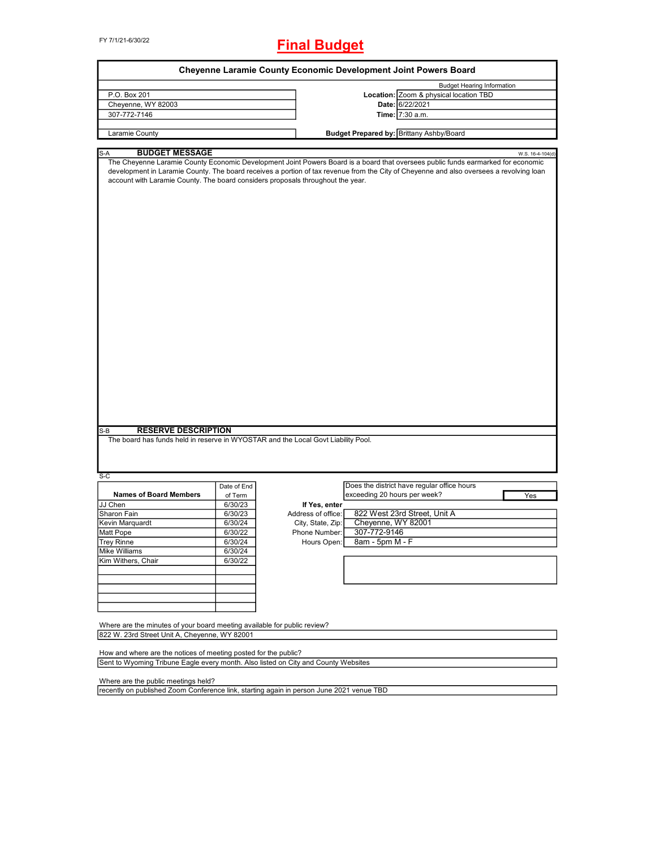FY 7/1/21-6/30/22

# **Final Budget**

| Cheyenne Laramie County Economic Development Joint Powers Board                                                                               |             |                    |                              |                                                                                                                                                                                                                                                                                                 |  |  |
|-----------------------------------------------------------------------------------------------------------------------------------------------|-------------|--------------------|------------------------------|-------------------------------------------------------------------------------------------------------------------------------------------------------------------------------------------------------------------------------------------------------------------------------------------------|--|--|
|                                                                                                                                               |             |                    |                              | <b>Budget Hearing Information</b>                                                                                                                                                                                                                                                               |  |  |
| P.O. Box 201                                                                                                                                  |             |                    |                              | Location: Zoom & physical location TBD                                                                                                                                                                                                                                                          |  |  |
| Cheyenne, WY 82003                                                                                                                            |             |                    |                              | Date: 6/22/2021                                                                                                                                                                                                                                                                                 |  |  |
| 307-772-7146                                                                                                                                  |             |                    |                              | Time: 7:30 a.m.                                                                                                                                                                                                                                                                                 |  |  |
|                                                                                                                                               |             |                    |                              |                                                                                                                                                                                                                                                                                                 |  |  |
| Laramie County                                                                                                                                |             |                    |                              | Budget Prepared by: Brittany Ashby/Board                                                                                                                                                                                                                                                        |  |  |
| S-A                                                                                                                                           |             |                    |                              |                                                                                                                                                                                                                                                                                                 |  |  |
| <b>BUDGET MESSAGE</b><br>account with Laramie County. The board considers proposals throughout the year.<br><b>RESERVE DESCRIPTION</b><br>S-B |             |                    |                              | W.S. 16-4-104(d)<br>The Cheyenne Laramie County Economic Development Joint Powers Board is a board that oversees public funds earmarked for economic<br>development in Laramie County. The board receives a portion of tax revenue from the City of Cheyenne and also oversees a revolving loan |  |  |
| The board has funds held in reserve in WYOSTAR and the Local Govt Liability Pool.                                                             |             |                    |                              |                                                                                                                                                                                                                                                                                                 |  |  |
| S-C                                                                                                                                           |             |                    |                              |                                                                                                                                                                                                                                                                                                 |  |  |
|                                                                                                                                               | Date of End |                    |                              | Does the district have regular office hours                                                                                                                                                                                                                                                     |  |  |
| <b>Names of Board Members</b>                                                                                                                 | of Term     |                    | exceeding 20 hours per week? | Yes                                                                                                                                                                                                                                                                                             |  |  |
| JJ Chen                                                                                                                                       | 6/30/23     | If Yes, enter      |                              |                                                                                                                                                                                                                                                                                                 |  |  |
| Sharon Fain                                                                                                                                   | 6/30/23     | Address of office: |                              | 822 West 23rd Street, Unit A                                                                                                                                                                                                                                                                    |  |  |
| Kevin Marquardt                                                                                                                               | 6/30/24     | City, State, Zip:  | Cheyenne, WY 82001           |                                                                                                                                                                                                                                                                                                 |  |  |
| Matt Pope                                                                                                                                     | 6/30/22     | Phone Number:      | 307-772-9146                 |                                                                                                                                                                                                                                                                                                 |  |  |
|                                                                                                                                               |             |                    |                              |                                                                                                                                                                                                                                                                                                 |  |  |
| <b>Trey Rinne</b>                                                                                                                             | 6/30/24     | Hours Open:        | 8am - 5pm M - F              |                                                                                                                                                                                                                                                                                                 |  |  |
| Mike Williams                                                                                                                                 | 6/30/24     |                    |                              |                                                                                                                                                                                                                                                                                                 |  |  |
| Kim Withers, Chair                                                                                                                            | 6/30/22     |                    |                              |                                                                                                                                                                                                                                                                                                 |  |  |
|                                                                                                                                               |             |                    |                              |                                                                                                                                                                                                                                                                                                 |  |  |
|                                                                                                                                               |             |                    |                              |                                                                                                                                                                                                                                                                                                 |  |  |
|                                                                                                                                               |             |                    |                              |                                                                                                                                                                                                                                                                                                 |  |  |
|                                                                                                                                               |             |                    |                              |                                                                                                                                                                                                                                                                                                 |  |  |
| Where are the minutes of your board meeting available for public review?<br>822 W. 23rd Street Unit A, Cheyenne, WY 82001                     |             |                    |                              |                                                                                                                                                                                                                                                                                                 |  |  |
|                                                                                                                                               |             |                    |                              |                                                                                                                                                                                                                                                                                                 |  |  |
| How and where are the notices of meeting posted for the public?                                                                               |             |                    |                              |                                                                                                                                                                                                                                                                                                 |  |  |
| Sent to Wyoming Tribune Eagle every month. Also listed on City and County Websites                                                            |             |                    |                              |                                                                                                                                                                                                                                                                                                 |  |  |
| Where are the public meetings held?                                                                                                           |             |                    |                              |                                                                                                                                                                                                                                                                                                 |  |  |
| recently on published Zoom Conference link, starting again in person June 2021 venue TBD                                                      |             |                    |                              |                                                                                                                                                                                                                                                                                                 |  |  |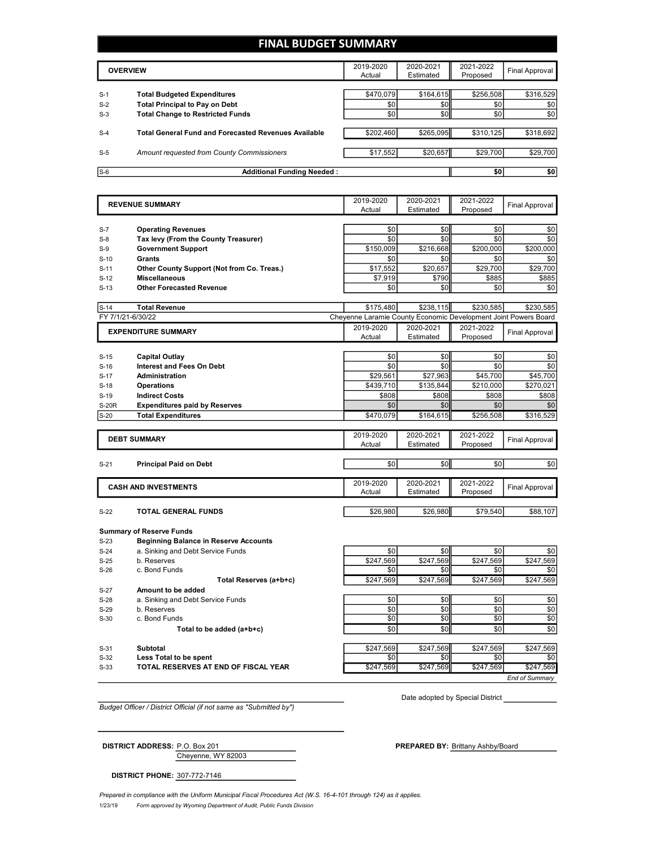### **FINAL BUDGET SUMMARY**

|       | <b>OVERVIEW</b>                                             | 2019-2020<br>Actual | 2020-2021<br>Estimated | 2021-2022<br>Proposed | Final Approval |
|-------|-------------------------------------------------------------|---------------------|------------------------|-----------------------|----------------|
|       |                                                             |                     |                        |                       |                |
| $S-1$ | <b>Total Budgeted Expenditures</b>                          | \$470.079           | \$164.615              | \$256,508             | \$316,529      |
| $S-2$ | <b>Total Principal to Pay on Debt</b>                       | \$0                 | \$0 <sub>1</sub>       | \$0                   | \$0            |
| $S-3$ | <b>Total Change to Restricted Funds</b>                     | \$0                 | \$0                    | \$0                   | \$0            |
|       |                                                             |                     |                        |                       |                |
| $S-4$ | <b>Total General Fund and Forecasted Revenues Available</b> | \$202,460           | \$265.095              | \$310.125             | \$318,692      |
|       |                                                             |                     |                        |                       |                |
| $S-5$ | Amount requested from County Commissioners                  | \$17,552            | \$20,657               | \$29,700              | \$29,700       |
|       |                                                             |                     |                        |                       |                |
| $S-6$ | <b>Additional Funding Needed:</b>                           |                     |                        | \$0                   | \$0            |

|                   | <b>REVENUE SUMMARY</b>                                                            | 2019-2020<br>Actual                                             | 2020-2021<br>Estimated | 2021-2022<br>Proposed | <b>Final Approval</b> |
|-------------------|-----------------------------------------------------------------------------------|-----------------------------------------------------------------|------------------------|-----------------------|-----------------------|
|                   |                                                                                   |                                                                 |                        |                       |                       |
| $S-7$             | <b>Operating Revenues</b>                                                         | \$0                                                             | \$0                    | \$0                   | \$0                   |
| $S-8$             | Tax levy (From the County Treasurer)                                              | \$0                                                             | \$0                    | \$0                   | \$0                   |
| $S-9$             | <b>Government Support</b>                                                         | \$150,009                                                       | \$216,668              | \$200,000             | \$200,000             |
| $S-10$            | Grants                                                                            | \$0                                                             | \$0                    | \$0                   | \$0                   |
| $S-11$            | Other County Support (Not from Co. Treas.)                                        | \$17,552                                                        | \$20,657               | \$29,700              | \$29,700              |
| $S-12$            | <b>Miscellaneous</b>                                                              | \$7,919                                                         | \$790                  | \$885                 | \$885                 |
| $S-13$            | <b>Other Forecasted Revenue</b>                                                   | \$0                                                             | \$0                    | \$0                   | \$0                   |
|                   |                                                                                   |                                                                 |                        |                       |                       |
| $S-14$            | <b>Total Revenue</b>                                                              | \$175,480                                                       | \$238,115              | \$230.585             | \$230,585             |
| FY 7/1/21-6/30/22 |                                                                                   | Cheyenne Laramie County Economic Development Joint Powers Board |                        |                       |                       |
|                   | <b>EXPENDITURE SUMMARY</b>                                                        | 2019-2020                                                       | 2020-2021              | 2021-2022             | <b>Final Approval</b> |
|                   |                                                                                   | Actual                                                          | Estimated              | Proposed              |                       |
| $S-15$            | <b>Capital Outlay</b>                                                             | \$0                                                             | \$0                    | \$0                   | \$0                   |
| $S-16$            | <b>Interest and Fees On Debt</b>                                                  | \$0                                                             | \$0                    | \$0                   | \$0                   |
| $S-17$            | Administration                                                                    | \$29,561                                                        | \$27,963               | \$45,700              | \$45,700              |
| $S-18$            | <b>Operations</b>                                                                 | \$439,710                                                       | \$135,844              | \$210,000             | \$270,021             |
| $S-19$            | <b>Indirect Costs</b>                                                             | \$808                                                           | \$808                  | \$808                 | \$808                 |
| <b>S-20R</b>      | <b>Expenditures paid by Reserves</b>                                              | \$0                                                             | \$0                    | \$0                   | \$0                   |
| $S-20$            | <b>Total Expenditures</b>                                                         | \$470.079                                                       | \$164,615              | \$256,508             | \$316,529             |
|                   |                                                                                   |                                                                 |                        |                       |                       |
|                   | <b>DEBT SUMMARY</b>                                                               | 2019-2020                                                       | 2020-2021              | 2021-2022             | <b>Final Approval</b> |
|                   |                                                                                   | Actual                                                          | Estimated              | Proposed              |                       |
| $S-21$            | <b>Principal Paid on Debt</b>                                                     | \$0                                                             | \$0                    | \$0                   | \$0                   |
|                   |                                                                                   |                                                                 |                        |                       |                       |
|                   | <b>CASH AND INVESTMENTS</b>                                                       | 2019-2020                                                       | 2020-2021              | 2021-2022             |                       |
|                   |                                                                                   | Actual                                                          | Estimated              | Proposed              | <b>Final Approval</b> |
|                   |                                                                                   |                                                                 |                        |                       |                       |
| $S-22$            | <b>TOTAL GENERAL FUNDS</b>                                                        | \$26,980                                                        | \$26,980               | \$79,540              | \$88,107              |
|                   |                                                                                   |                                                                 |                        |                       |                       |
|                   | <b>Summary of Reserve Funds</b>                                                   |                                                                 |                        |                       |                       |
| $S-23$<br>$S-24$  | <b>Beginning Balance in Reserve Accounts</b><br>a. Sinking and Debt Service Funds | \$0                                                             | \$0                    | \$0                   | \$0                   |
| $S-25$            | b. Reserves                                                                       | \$247.569                                                       | \$247.569              | \$247,569             | \$247,569             |
| $S-26$            | c. Bond Funds                                                                     | \$0                                                             | \$0                    | \$0                   | \$0                   |
|                   | Total Reserves (a+b+c)                                                            | \$247,569                                                       | \$247,569              | \$247,569             | \$247,569             |
| $S-27$            | Amount to be added                                                                |                                                                 |                        |                       |                       |
| $S-28$            | a. Sinking and Debt Service Funds                                                 | \$0                                                             | \$0                    | \$0                   | \$0                   |
| $S-29$            | b. Reserves                                                                       | \$0                                                             | \$0                    | \$0                   | \$0                   |
| $S-30$            | c. Bond Funds                                                                     | \$0                                                             | \$0                    | \$0                   | \$0                   |
|                   | Total to be added (a+b+c)                                                         | \$0                                                             | \$0                    | \$0                   | \$0                   |
|                   |                                                                                   |                                                                 |                        |                       |                       |
| $S-31$            | <b>Subtotal</b>                                                                   | \$247,569                                                       | \$247,569              | \$247,569             | \$247,569             |

**Less Total to be spent because the contract of the contract of the spent schedule schedule schedule schedule schedule schedule schedule schedule schedule schedule schedule schedule schedule schedule schedule schedule sc** 

S-33 **TOTAL RESERVES AT END OF FISCAL YEAR** \$247,569 \$247,569 \$247,569 \$247,569

*End of Summary*

*Budget Officer / District Official (if not same as "Submitted by")*

Date adopted by Special District

Cheyenne, WY 82003

**DISTRICT ADDRESS:** P.O. Box 201 **PREPARED BY:** Brittany Ashby/Board

**DISTRICT PHONE:** 307-772-7146

1/23/19 *Form approved by Wyoming Department of Audit, Public Funds Division Prepared in compliance with the Uniform Municipal Fiscal Procedures Act (W.S. 16-4-101 through 124) as it applies.*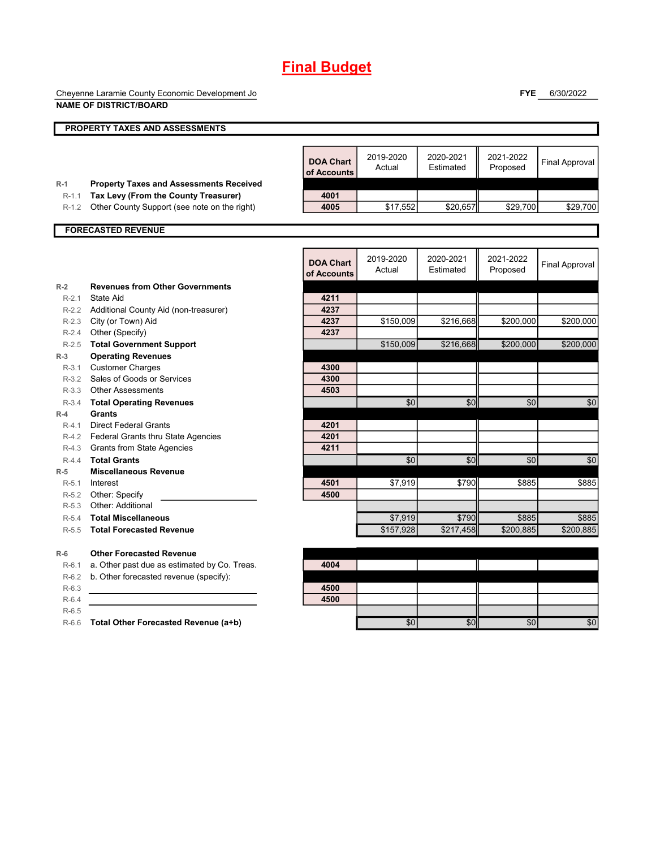## **Final Budget**

Cheyenne Laramie County Economic Development Joint Powers Board **NAME OF DISTRICT/BOARD**

**FYE** 6/30/2022

|         | <b>NAME OF DISTRICT/BOARD</b>                  |                                 |                     |                        |                       |                       |
|---------|------------------------------------------------|---------------------------------|---------------------|------------------------|-----------------------|-----------------------|
|         | PROPERTY TAXES AND ASSESSMENTS                 |                                 |                     |                        |                       |                       |
|         |                                                |                                 |                     |                        |                       |                       |
|         |                                                | <b>DOA Chart</b><br>of Accounts | 2019-2020<br>Actual | 2020-2021<br>Estimated | 2021-2022<br>Proposed | <b>Final Approval</b> |
| $R-1$   | <b>Property Taxes and Assessments Received</b> |                                 |                     |                        |                       |                       |
| $R-1.1$ | Tax Levy (From the County Treasurer)           | 4001                            |                     |                        |                       |                       |
| $R-1.2$ | Other County Support (see note on the right)   | 4005                            | \$17,552            | \$20.657               | \$29,700              | \$29,700              |
|         | <b>FORECASTED REVENUE</b>                      |                                 |                     |                        |                       |                       |
|         |                                                |                                 |                     |                        |                       |                       |
|         |                                                | <b>DOA Chart</b><br>of Accounts | 2019-2020<br>Actual | 2020-2021<br>Estimated | 2021-2022<br>Proposed | <b>Final Approval</b> |
| $R-2$   | <b>Revenues from Other Governments</b>         |                                 |                     |                        |                       |                       |
| $R-2.1$ | State Aid                                      | 4211                            |                     |                        |                       |                       |
|         | R-2.2 Additional County Aid (non-treasurer)    | 4237                            |                     |                        |                       |                       |
|         | R-2.3 City (or Town) Aid                       | 4237                            | \$150.009           | \$216,668              | \$200,000             | \$200.000             |
| $R-2.4$ | Other (Specify)                                | 4237                            |                     |                        |                       |                       |
| $R-2.5$ | <b>Total Government Support</b>                |                                 | \$150,009           | \$216,668              | \$200,000             | \$200,000             |
| $R-3$   | <b>Operating Revenues</b>                      |                                 |                     |                        |                       |                       |
| $R-3.1$ | <b>Customer Charges</b>                        | 4300                            |                     |                        |                       |                       |
|         | R-3.2 Sales of Goods or Services               | 4300                            |                     |                        |                       |                       |
|         | R-3.3 Other Assessments                        | 4503                            |                     |                        |                       |                       |
| $R-3.4$ | <b>Total Operating Revenues</b>                |                                 | \$0                 | \$0                    | \$0                   | \$0                   |
| $R-4$   | Grants                                         |                                 |                     |                        |                       |                       |
| $R-4.1$ | <b>Direct Federal Grants</b>                   | 4201                            |                     |                        |                       |                       |
|         | R-4.2 Federal Grants thru State Agencies       | 4201                            |                     |                        |                       |                       |
|         | R-4.3 Grants from State Agencies               | 4211                            |                     |                        |                       |                       |
| $R-4.4$ | <b>Total Grants</b>                            |                                 | \$0                 | \$0                    | \$0                   | \$0                   |
| $R-5$   | <b>Miscellaneous Revenue</b>                   |                                 |                     |                        |                       |                       |
| $R-5.1$ | Interest                                       | 4501                            | \$7,919             | \$790                  | \$885                 | \$885                 |
|         | R-5.2 Other: Specify                           | 4500                            |                     |                        |                       |                       |
| $R-5.3$ | Other: Additional                              |                                 |                     |                        |                       |                       |
| $R-5.4$ | <b>Total Miscellaneous</b>                     |                                 | \$7,919             | \$790                  | \$885                 | \$885                 |
| $R-5.5$ | <b>Total Forecasted Revenue</b>                |                                 | \$157,928           | \$217,458              | \$200,885             | \$200.885             |
| $R-6$   | <b>Other Forecasted Revenue</b>                |                                 |                     |                        |                       |                       |
| $R-6.1$ | a. Other past due as estimated by Co. Treas.   | 4004                            |                     |                        |                       |                       |
| $R-6.2$ | b. Other forecasted revenue (specify):         |                                 |                     |                        |                       |                       |
| $R-6.3$ |                                                | 4500                            |                     |                        |                       |                       |
| $R-6.4$ |                                                | 4500                            |                     |                        |                       |                       |
| $R-6.5$ |                                                |                                 |                     |                        |                       |                       |
| $R-6.6$ | Total Other Forecasted Revenue (a+b)           |                                 | \$0                 | \$0                    | \$0                   | \$0                   |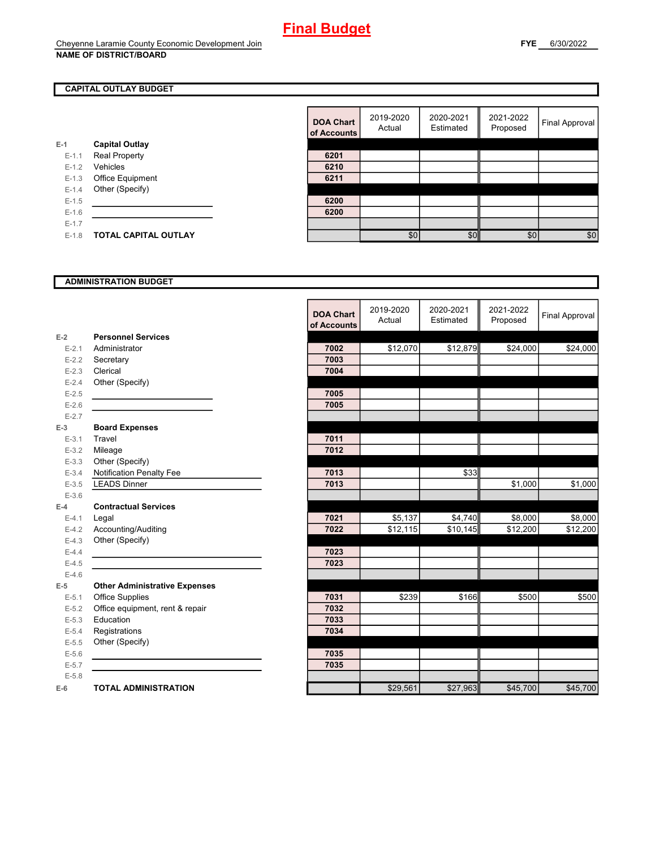#### **CAPITAL OUTLAY BUDGET**

|           |                             | ui Auuu |
|-----------|-----------------------------|---------|
| E-1       | <b>Capital Outlay</b>       |         |
| $E - 1.1$ | <b>Real Property</b>        | 6201    |
| $E-1.2$   | Vehicles                    | 6210    |
| $E - 1.3$ | Office Equipment            | 6211    |
| $E - 1.4$ | Other (Specify)             |         |
| $E-1.5$   |                             | 6200    |
| $E - 1.6$ |                             | 6200    |
| $E - 1.7$ |                             |         |
| $E - 1.8$ | <b>TOTAL CAPITAL OUTLAY</b> |         |
|           |                             |         |

| <b>DOA Chart</b><br>of Accounts | 2019-2020<br>Actual | 2020-2021<br>Estimated | 2021-2022<br>Proposed | Final Approval |
|---------------------------------|---------------------|------------------------|-----------------------|----------------|
|                                 |                     |                        |                       |                |
| 6201                            |                     |                        |                       |                |
| 6210                            |                     |                        |                       |                |
| 6211                            |                     |                        |                       |                |
|                                 |                     |                        |                       |                |
| 6200                            |                     |                        |                       |                |
| 6200                            |                     |                        |                       |                |
|                                 |                     |                        |                       |                |
|                                 | \$0                 | \$ſ                    | \$0                   | \$0            |

#### **ADMINISTRATION BUDGET**

|           |                                      | <b>DOA Chart</b><br>of Accounts | 2019-2020<br>Actual | 2020-2021<br>Estimated | 2021-2022<br>Proposed | <b>Final Approval</b> |
|-----------|--------------------------------------|---------------------------------|---------------------|------------------------|-----------------------|-----------------------|
| $E-2$     | <b>Personnel Services</b>            |                                 |                     |                        |                       |                       |
| $E - 2.1$ | Administrator                        | 7002                            | \$12,070            | \$12,879               | \$24,000              | \$24,000              |
| $E-2.2$   | Secretary                            | 7003                            |                     |                        |                       |                       |
| $E-2.3$   | Clerical                             | 7004                            |                     |                        |                       |                       |
| $E - 2.4$ | Other (Specify)                      |                                 |                     |                        |                       |                       |
| $E-2.5$   |                                      | 7005                            |                     |                        |                       |                       |
| $E-2.6$   |                                      | 7005                            |                     |                        |                       |                       |
| $E - 2.7$ |                                      |                                 |                     |                        |                       |                       |
| $E-3$     | <b>Board Expenses</b>                |                                 |                     |                        |                       |                       |
| $E - 3.1$ | Travel                               | 7011                            |                     |                        |                       |                       |
| $E - 3.2$ | Mileage                              | 7012                            |                     |                        |                       |                       |
| $E - 3.3$ | Other (Specify)                      |                                 |                     |                        |                       |                       |
| $E - 3.4$ | Notification Penalty Fee             | 7013                            |                     | \$33                   |                       |                       |
| $E - 3.5$ | <b>LEADS Dinner</b>                  | 7013                            |                     |                        | \$1,000               | \$1,000               |
| $E - 3.6$ |                                      |                                 |                     |                        |                       |                       |
| $E-4$     | <b>Contractual Services</b>          |                                 |                     |                        |                       |                       |
| $E - 4.1$ | Legal                                | 7021                            | \$5,137             | \$4,740                | \$8,000               | \$8,000               |
| $E-4.2$   | Accounting/Auditing                  | 7022                            | \$12,115            | \$10,145               | \$12,200              | \$12,200              |
| $E-4.3$   | Other (Specify)                      |                                 |                     |                        |                       |                       |
| $E-4.4$   |                                      | 7023                            |                     |                        |                       |                       |
| $E-4.5$   |                                      | 7023                            |                     |                        |                       |                       |
| $E-4.6$   |                                      |                                 |                     |                        |                       |                       |
| $E-5$     | <b>Other Administrative Expenses</b> |                                 |                     |                        |                       |                       |
| $E - 5.1$ | Office Supplies                      | 7031                            | \$239               | \$166                  | \$500                 | \$500                 |
| $E-5.2$   | Office equipment, rent & repair      | 7032                            |                     |                        |                       |                       |
| $E - 5.3$ | Education                            | 7033                            |                     |                        |                       |                       |
| $E - 5.4$ | Registrations                        | 7034                            |                     |                        |                       |                       |
| $E-5.5$   | Other (Specify)                      |                                 |                     |                        |                       |                       |
| $E-5.6$   |                                      | 7035                            |                     |                        |                       |                       |
| $E - 5.7$ |                                      | 7035                            |                     |                        |                       |                       |
| $E - 5.8$ |                                      |                                 |                     |                        |                       |                       |
| $E-6$     | <b>TOTAL ADMINISTRATION</b>          |                                 | \$29,561            | \$27,963               | \$45,700              | \$45,700              |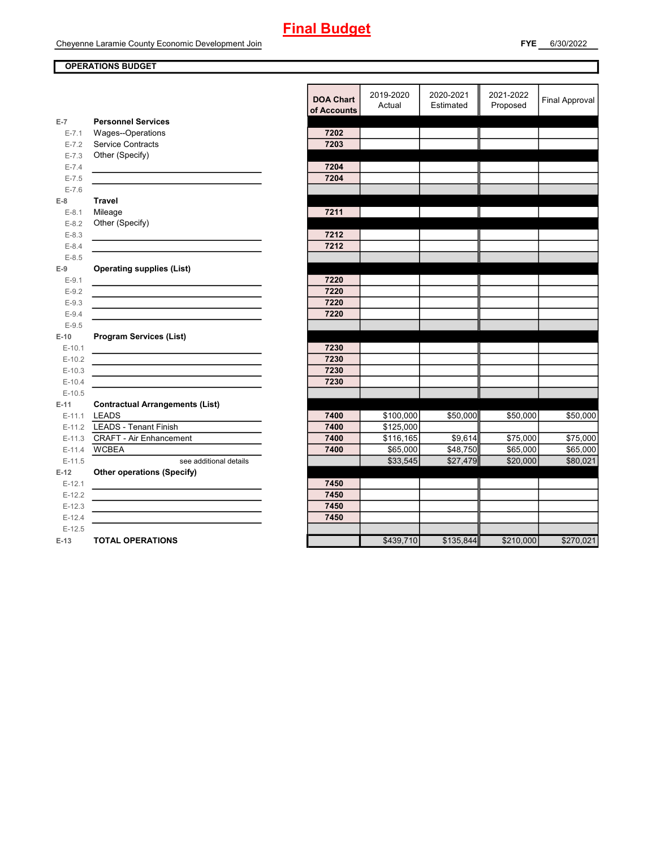# **Final Budget**

#### **OPERATIONS BUDGET**

|           |                                        | DUA UIIdI L<br>of Accounts | Actual    |
|-----------|----------------------------------------|----------------------------|-----------|
| $E-7$     | <b>Personnel Services</b>              |                            |           |
| $E - 7.1$ | Wages--Operations                      | 7202                       |           |
| $E - 7.2$ | Service Contracts                      | 7203                       |           |
| $E - 7.3$ | Other (Specify)                        |                            |           |
| $E - 7.4$ |                                        | 7204                       |           |
| $E - 7.5$ |                                        | 7204                       |           |
| $E - 7.6$ |                                        |                            |           |
| $E-8$     | <b>Travel</b>                          |                            |           |
| $E-8.1$   | Mileage                                | 7211                       |           |
| $E-8.2$   | Other (Specify)                        |                            |           |
| $E - 8.3$ |                                        | 7212                       |           |
| $E - 8.4$ |                                        | 7212                       |           |
| $E - 8.5$ |                                        |                            |           |
| $E-9$     | <b>Operating supplies (List)</b>       |                            |           |
| $E-9.1$   |                                        | 7220                       |           |
| $E - 9.2$ |                                        | 7220                       |           |
| $E - 9.3$ |                                        | 7220                       |           |
| $E-9.4$   |                                        | 7220                       |           |
| $E-9.5$   |                                        |                            |           |
| $E-10$    | <b>Program Services (List)</b>         |                            |           |
| $E-10.1$  |                                        | 7230                       |           |
| $E-10.2$  |                                        | 7230                       |           |
| $E-10.3$  |                                        | 7230                       |           |
| $E-10.4$  |                                        | 7230                       |           |
| $E-10.5$  |                                        |                            |           |
| $E-11$    | <b>Contractual Arrangements (List)</b> |                            |           |
| $E-11.1$  | <b>LEADS</b>                           | 7400                       | \$100,000 |
| $E-11.2$  | <b>LEADS - Tenant Finish</b>           | 7400                       | \$125,000 |
|           | E-11.3 CRAFT - Air Enhancement         | 7400                       | \$116,165 |
| $E-11.4$  | <b>WCBEA</b>                           | 7400                       | \$65,000  |
| $E-11.5$  | see additional details                 |                            | \$33,545  |
| $E-12$    | <b>Other operations (Specify)</b>      |                            |           |
| $E-12.1$  |                                        | 7450                       |           |
| $E-12.2$  |                                        | 7450                       |           |
| $E-12.3$  |                                        | 7450                       |           |
| $E-12.4$  |                                        | 7450                       |           |
| $E-12.5$  |                                        |                            |           |
| $E-13$    | <b>TOTAL OPERATIONS</b>                |                            | \$439,710 |

|           |                                                           | <b>DOA Chart</b><br>of Accounts | 2019-2020<br>Actual | 2020-2021<br>Estimated | 2021-2022<br>Proposed | <b>Final Approval</b> |
|-----------|-----------------------------------------------------------|---------------------------------|---------------------|------------------------|-----------------------|-----------------------|
| $E-7$     | <b>Personnel Services</b>                                 |                                 |                     |                        |                       |                       |
| $E - 7.1$ | Wages--Operations                                         | 7202                            |                     |                        |                       |                       |
| $E - 7.2$ | Service Contracts                                         | 7203                            |                     |                        |                       |                       |
| $E - 7.3$ | Other (Specify)                                           |                                 |                     |                        |                       |                       |
| $E - 7.4$ |                                                           | 7204                            |                     |                        |                       |                       |
| $E - 7.5$ |                                                           | 7204                            |                     |                        |                       |                       |
| $E - 7.6$ |                                                           |                                 |                     |                        |                       |                       |
| E-8       | <b>Travel</b>                                             |                                 |                     |                        |                       |                       |
| $E-8.1$   | Mileage                                                   | 7211                            |                     |                        |                       |                       |
| $E-8.2$   | Other (Specify)                                           |                                 |                     |                        |                       |                       |
| $E-8.3$   |                                                           | 7212                            |                     |                        |                       |                       |
| $E-8.4$   |                                                           | 7212                            |                     |                        |                       |                       |
| $E-8.5$   |                                                           |                                 |                     |                        |                       |                       |
| $E-9$     | <b>Operating supplies (List)</b>                          |                                 |                     |                        |                       |                       |
| $E-9.1$   |                                                           | 7220                            |                     |                        |                       |                       |
| $E-9.2$   |                                                           | 7220                            |                     |                        |                       |                       |
| $E - 9.3$ |                                                           | 7220                            |                     |                        |                       |                       |
| $E-9.4$   |                                                           | 7220                            |                     |                        |                       |                       |
| $E-9.5$   |                                                           |                                 |                     |                        |                       |                       |
| $E-10$    | <b>Program Services (List)</b>                            |                                 |                     |                        |                       |                       |
| $E-10.1$  | <u> 1980 - Johann Barnett, fransk politiker (d. 1980)</u> | 7230                            |                     |                        |                       |                       |
| $E-10.2$  |                                                           | 7230                            |                     |                        |                       |                       |
| $E-10.3$  |                                                           | 7230                            |                     |                        |                       |                       |
| $E-10.4$  |                                                           | 7230                            |                     |                        |                       |                       |
| $E-10.5$  |                                                           |                                 |                     |                        |                       |                       |
| E-11      | <b>Contractual Arrangements (List)</b>                    |                                 |                     |                        |                       |                       |
|           | E-11.1 LEADS                                              | 7400                            | \$100,000           | \$50,000               | \$50,000              | \$50,000              |
|           | E-11.2 LEADS - Tenant Finish                              | 7400                            | \$125,000           |                        |                       |                       |
|           | E-11.3 CRAFT - Air Enhancement                            | 7400                            | \$116,165           | \$9,614                | \$75,000              | \$75,000              |
| $E-11.4$  | <b>WCBEA</b>                                              | 7400                            | \$65,000            | \$48,750               | \$65,000              | \$65,000              |
| $E-11.5$  | see additional details                                    |                                 | \$33,545            | \$27,479               | \$20,000              | \$80,021              |
| $E-12$    | <b>Other operations (Specify)</b>                         |                                 |                     |                        |                       |                       |
| $E-12.1$  |                                                           | 7450                            |                     |                        |                       |                       |
| $E-12.2$  |                                                           | 7450                            |                     |                        |                       |                       |
| $E-12.3$  |                                                           | 7450                            |                     |                        |                       |                       |
| $E-12.4$  |                                                           | 7450                            |                     |                        |                       |                       |
| $E-12.5$  |                                                           |                                 |                     |                        |                       |                       |
| E-13      | <b>TOTAL OPERATIONS</b>                                   |                                 | \$439,710           | \$135,844              | \$210,000             | \$270,021             |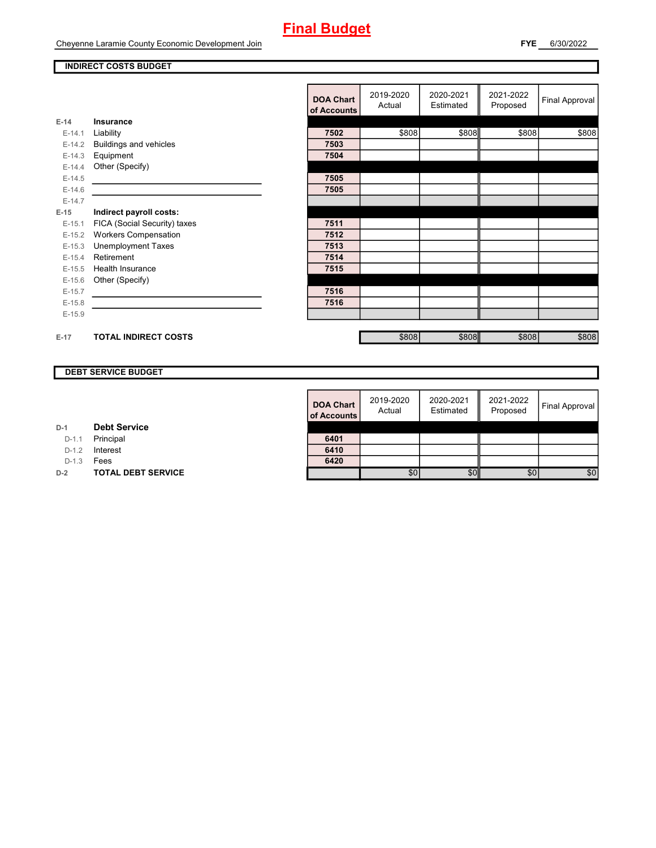## **Final Budget**

#### **INDIRECT COSTS BUDGET**

|          |                              | <b>DOA Chart</b><br>of Accounts | 2019-2020<br>Actual | 2020-2021<br>Estimated | 2021-2022<br>Proposed | Final Approval |
|----------|------------------------------|---------------------------------|---------------------|------------------------|-----------------------|----------------|
| $E-14$   | <b>Insurance</b>             |                                 |                     |                        |                       |                |
| $E-14.1$ | Liability                    | 7502                            | \$808               | \$808                  | \$808                 | \$808          |
| $E-14.2$ | Buildings and vehicles       | 7503                            |                     |                        |                       |                |
| $E-14.3$ | Equipment                    | 7504                            |                     |                        |                       |                |
| $E-14.4$ | Other (Specify)              |                                 |                     |                        |                       |                |
| $E-14.5$ |                              | 7505                            |                     |                        |                       |                |
| $E-14.6$ |                              | 7505                            |                     |                        |                       |                |
| $E-14.7$ |                              |                                 |                     |                        |                       |                |
| $E-15$   | Indirect payroll costs:      |                                 |                     |                        |                       |                |
| $E-15.1$ | FICA (Social Security) taxes | 7511                            |                     |                        |                       |                |
| $E-15.2$ | <b>Workers Compensation</b>  | 7512                            |                     |                        |                       |                |
| $E-15.3$ | <b>Unemployment Taxes</b>    | 7513                            |                     |                        |                       |                |
| $E-15.4$ | Retirement                   | 7514                            |                     |                        |                       |                |
| $E-15.5$ | Health Insurance             | 7515                            |                     |                        |                       |                |
| $E-15.6$ | Other (Specify)              |                                 |                     |                        |                       |                |
| $E-15.7$ |                              | 7516                            |                     |                        |                       |                |
| $E-15.8$ |                              | 7516                            |                     |                        |                       |                |
| $E-15.9$ |                              |                                 |                     |                        |                       |                |
|          |                              |                                 |                     |                        |                       |                |
| $E-17$   | <b>TOTAL INDIRECT COSTS</b>  |                                 | \$808               | \$808                  | \$808                 | \$808          |

#### **DEBT SERVICE BUDGET**

| <b>DOA Chart</b><br>of Accounts | 2019-2020<br>Actual | 2020-2021<br>Estimated | 2021-2022<br>Proposed | Final Approval |
|---------------------------------|---------------------|------------------------|-----------------------|----------------|
| 6401                            |                     |                        |                       |                |
| 6410                            |                     |                        |                       |                |
| 6420                            |                     |                        |                       |                |
|                                 | \$0                 |                        | \$0                   | \$C            |

| D-1 | <b>Debt Service</b> |
|-----|---------------------|

D-1.1 **Principal** 

D-1.2 **Interest** 

D-1.3 **Fees** 

**D-2 TOTAL DEBT SERVICE**